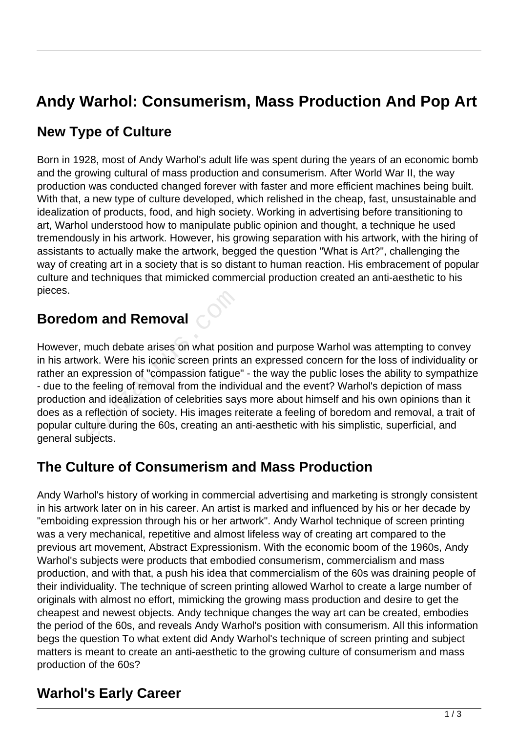# **Andy Warhol: Consumerism, Mass Production And Pop Art**

## **New Type of Culture**

Born in 1928, most of Andy Warhol's adult life was spent during the years of an economic bomb and the growing cultural of mass production and consumerism. After World War II, the way production was conducted changed forever with faster and more efficient machines being built. With that, a new type of culture developed, which relished in the cheap, fast, unsustainable and idealization of products, food, and high society. Working in advertising before transitioning to art, Warhol understood how to manipulate public opinion and thought, a technique he used tremendously in his artwork. However, his growing separation with his artwork, with the hiring of assistants to actually make the artwork, begged the question "What is Art?", challenging the way of creating art in a society that is so distant to human reaction. His embracement of popular culture and techniques that mimicked commercial production created an anti-aesthetic to his pieces.

### **Boredom and Removal**

However, much debate arises on what position and purpose Warhol was attempting to convey in his artwork. Were his iconic screen prints an expressed concern for the loss of individuality or rather an expression of "compassion fatigue" - the way the public loses the ability to sympathize - due to the feeling of removal from the individual and the event? Warhol's depiction of mass production and idealization of celebrities says more about himself and his own opinions than it does as a reflection of society. His images reiterate a feeling of boredom and removal, a trait of popular culture during the 60s, creating an anti-aesthetic with his simplistic, superficial, and general subjects. **m and Removal**<br>much debate arises on what posit<br>ork. Were his iconic screen prints<br>expression of "compassion fatigue<br>e feeling of removal from the indiv<br>and idealization of celebrities say<br>reflection of society. His image

#### **The Culture of Consumerism and Mass Production**

Andy Warhol's history of working in commercial advertising and marketing is strongly consistent in his artwork later on in his career. An artist is marked and influenced by his or her decade by "emboiding expression through his or her artwork". Andy Warhol technique of screen printing was a very mechanical, repetitive and almost lifeless way of creating art compared to the previous art movement, Abstract Expressionism. With the economic boom of the 1960s, Andy Warhol's subjects were products that embodied consumerism, commercialism and mass production, and with that, a push his idea that commercialism of the 60s was draining people of their individuality. The technique of screen printing allowed Warhol to create a large number of originals with almost no effort, mimicking the growing mass production and desire to get the cheapest and newest objects. Andy technique changes the way art can be created, embodies the period of the 60s, and reveals Andy Warhol's position with consumerism. All this information begs the question To what extent did Andy Warhol's technique of screen printing and subject matters is meant to create an anti-aesthetic to the growing culture of consumerism and mass production of the 60s?

#### **Warhol's Early Career**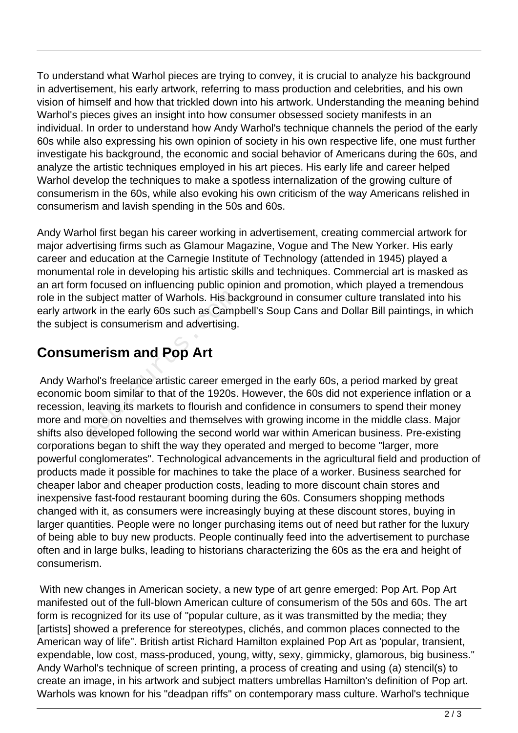To understand what Warhol pieces are trying to convey, it is crucial to analyze his background in advertisement, his early artwork, referring to mass production and celebrities, and his own vision of himself and how that trickled down into his artwork. Understanding the meaning behind Warhol's pieces gives an insight into how consumer obsessed society manifests in an individual. In order to understand how Andy Warhol's technique channels the period of the early 60s while also expressing his own opinion of society in his own respective life, one must further investigate his background, the economic and social behavior of Americans during the 60s, and analyze the artistic techniques employed in his art pieces. His early life and career helped Warhol develop the techniques to make a spotless internalization of the growing culture of consumerism in the 60s, while also evoking his own criticism of the way Americans relished in consumerism and lavish spending in the 50s and 60s.

Andy Warhol first began his career working in advertisement, creating commercial artwork for major advertising firms such as Glamour Magazine, Vogue and The New Yorker. His early career and education at the Carnegie Institute of Technology (attended in 1945) played a monumental role in developing his artistic skills and techniques. Commercial art is masked as an art form focused on influencing public opinion and promotion, which played a tremendous role in the subject matter of Warhols. His background in consumer culture translated into his early artwork in the early 60s such as Campbell's Soup Cans and Dollar Bill paintings, in which the subject is consumerism and advertising.

## **Consumerism and Pop Art**

 Andy Warhol's freelance artistic career emerged in the early 60s, a period marked by great economic boom similar to that of the 1920s. However, the 60s did not experience inflation or a recession, leaving its markets to flourish and confidence in consumers to spend their money more and more on novelties and themselves with growing income in the middle class. Major shifts also developed following the second world war within American business. Pre-existing corporations began to shift the way they operated and merged to become "larger, more powerful conglomerates". Technological advancements in the agricultural field and production of products made it possible for machines to take the place of a worker. Business searched for cheaper labor and cheaper production costs, leading to more discount chain stores and inexpensive fast-food restaurant booming during the 60s. Consumers shopping methods changed with it, as consumers were increasingly buying at these discount stores, buying in larger quantities. People were no longer purchasing items out of need but rather for the luxury of being able to buy new products. People continually feed into the advertisement to purchase often and in large bulks, leading to historians characterizing the 60s as the era and height of consumerism. subject matter of Warhols. His baork in the early 60s such as Camp<br>t is consumerism and advertising.<br>**nerism and Pop Art**<br>hol's freelance artistic career eme<br>boom similar to that of the 1920s.<br>leaving its markets to flouri

 With new changes in American society, a new type of art genre emerged: Pop Art. Pop Art manifested out of the full-blown American culture of consumerism of the 50s and 60s. The art form is recognized for its use of "popular culture, as it was transmitted by the media; they [artists] showed a preference for stereotypes, clichés, and common places connected to the American way of life". British artist Richard Hamilton explained Pop Art as 'popular, transient, expendable, low cost, mass-produced, young, witty, sexy, gimmicky, glamorous, big business." Andy Warhol's technique of screen printing, a process of creating and using (a) stencil(s) to create an image, in his artwork and subject matters umbrellas Hamilton's definition of Pop art. Warhols was known for his "deadpan riffs" on contemporary mass culture. Warhol's technique